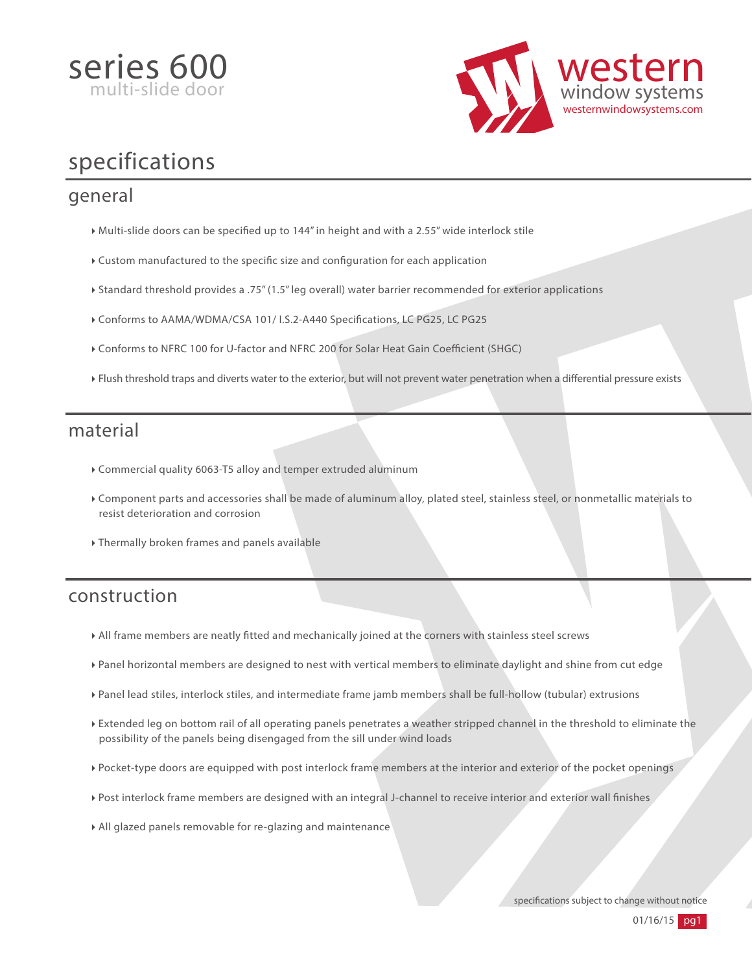



# specifications

#### general

- $\blacktriangleright$  Multi-slide doors can be specified up to 144" in height and with a 2.55" wide interlock stile
- $\triangleright$  Custom manufactured to the specific size and configuration for each application
- Standard threshold provides a .75" (1.5" leg overall) water barrier recommended for exterior applications
- Conforms to AAMA/WDMA/CSA 101/ I.S.2-A440 Specifications, LC PG25, LC PG25
- $\triangleright$  Conforms to NFRC 100 for U-factor and NFRC 200 for Solar Heat Gain Coefficient (SHGC)
- Flush threshold traps and diverts water to the exterior, but will not prevent water penetration when a differential pressure exists

#### material

- Commercial quality 6063-T5 alloy and temper extruded aluminum
- Component parts and accessories shall be made of aluminum alloy, plated steel, stainless steel, or nonmetallic materials to resist deterioration and corrosion
- Thermally broken frames and panels available

#### construction

- All frame members are neatly tted and mechanically joined at the corners with stainless steel screws
- Panel horizontal members are designed to nest with vertical members to eliminate daylight and shine from cut edge
- Panel lead stiles, interlock stiles, and intermediate frame jamb members shall be full-hollow (tubular) extrusions
- Extended leg on bottom rail of all operating panels penetrates a weather stripped channel in the threshold to eliminate the possibility of the panels being disengaged from the sill under wind loads
- Pocket-type doors are equipped with post interlock frame members at the interior and exterior of the pocket openings
- Post interlock frame members are designed with an integral J-channel to receive interior and exterior wall finishes
- All glazed panels removable for re-glazing and maintenance

specifications subject to change without notice

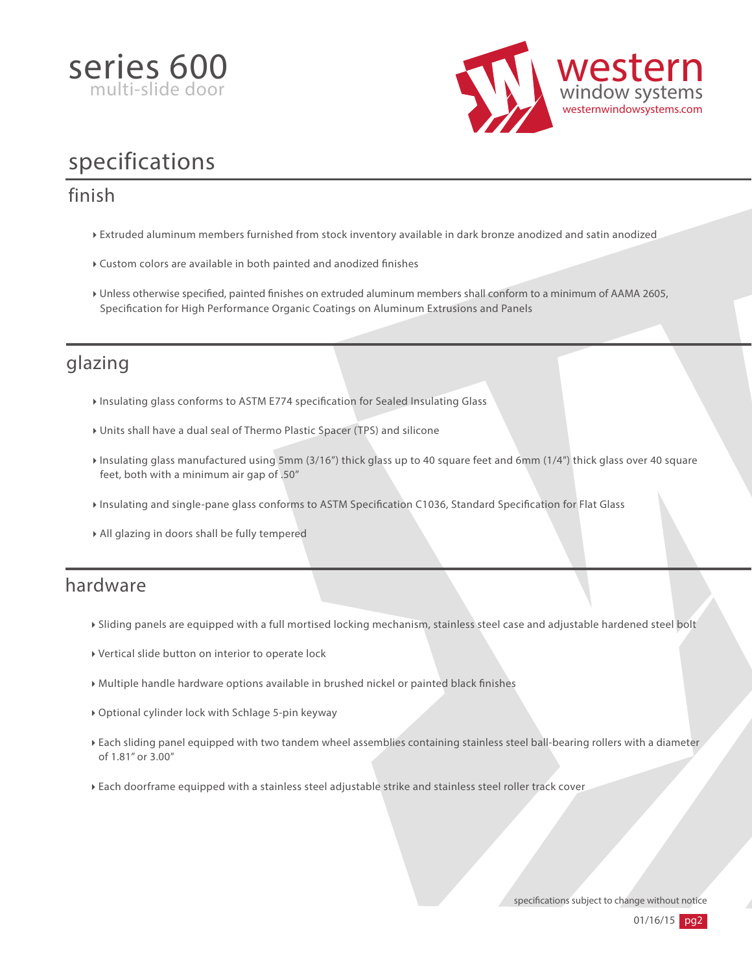



# specifications

### finish

- Extruded aluminum members furnished from stock inventory available in dark bronze anodized and satin anodized
- $\blacktriangleright$  Custom colors are available in both painted and anodized finishes
- Unless otherwise specified, painted finishes on extruded aluminum members shall conform to a minimum of AAMA 2605, Specification for High Performance Organic Coatings on Aluminum Extrusions and Panels

## glazing

- Insulating glass conforms to ASTM E774 specification for Sealed Insulating Glass
- Units shall have a dual seal of Thermo Plastic Spacer (TPS) and silicone
- Insulating glass manufactured using 5mm (3/16") thick glass up to 40 square feet and 6mm (1/4") thick glass over 40 square feet, both with a minimum air gap of .50"
- Insulating and single-pane glass conforms to ASTM Specification C1036, Standard Specification for Flat Glass
- All glazing in doors shall be fully tempered

## hardware

- Sliding panels are equipped with a full mortised locking mechanism, stainless steel case and adjustable hardened steel bolt
- Vertical slide button on interior to operate lock
- Multiple handle hardware options available in brushed nickel or painted black nishes
- Optional cylinder lock with Schlage 5-pin keyway
- Each sliding panel equipped with two tandem wheel assemblies containing stainless steel ball-bearing rollers with a diameter of 1.81" or 3.00"
- Each doorframe equipped with a stainless steel adjustable strike and stainless steel roller track cover

specifications subject to change without notice